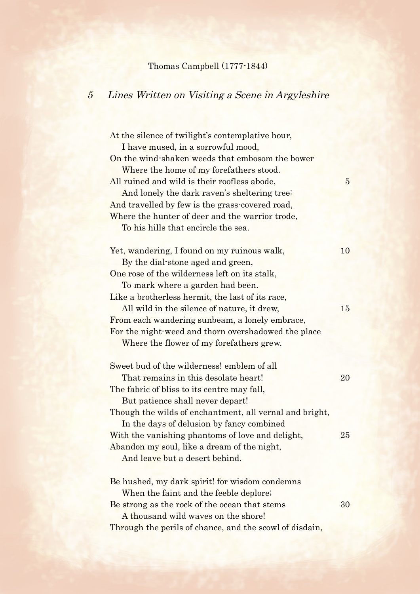## Thomas Campbell (1777-1844)

## 5 Lines Written on Visiting a Scene in Argyleshire

At the silence of twilight's contemplative hour, I have mused, in a sorrowful mood, On the wind-shaken weeds that embosom the bower Where the home of my forefathers stood. All ruined and wild is their roofless abode, 5 And lonely the dark raven's sheltering tree: And travelled by few is the grass-covered road, Where the hunter of deer and the warrior trode, To his hills that encircle the sea. Yet, wandering, I found on my ruinous walk, 10 By the dial-stone aged and green, One rose of the wilderness left on its stalk, To mark where a garden had been. Like a brotherless hermit, the last of its race, All wild in the silence of nature, it drew, 15 From each wandering sunbeam, a lonely embrace, For the night-weed and thorn overshadowed the place Where the flower of my forefathers grew. Sweet bud of the wilderness! emblem of all That remains in this desolate heart! 20 The fabric of bliss to its centre may fall, But patience shall never depart! Though the wilds of enchantment, all vernal and bright, In the days of delusion by fancy combined With the vanishing phantoms of love and delight, 25 Abandon my soul, like a dream of the night, And leave but a desert behind. Be hushed, my dark spirit! for wisdom condemns When the faint and the feeble deplore; Be strong as the rock of the ocean that stems 30 A thousand wild waves on the shore! Through the perils of chance, and the scowl of disdain,